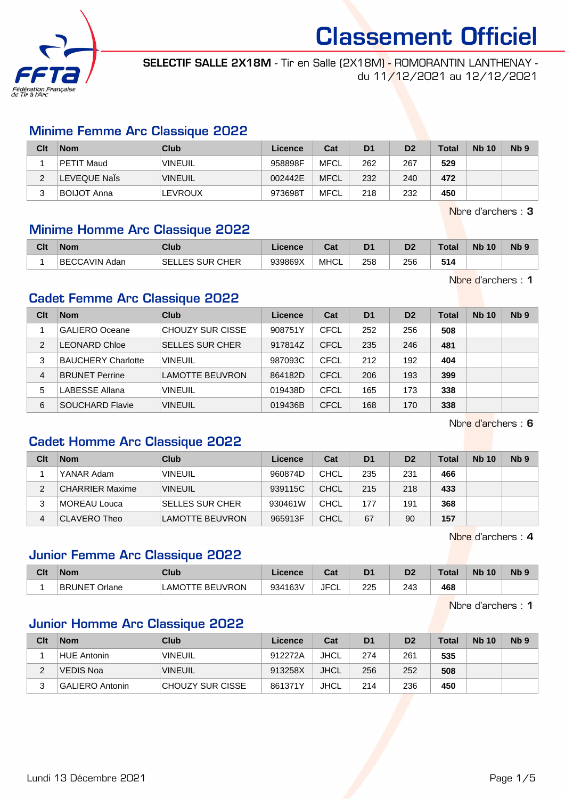

SELECTIF SALLE 2X18M - Tir en Salle (2X18M) - ROMORANTIN LANTHENAY du 11/12/2021 au 12/12/2021

#### Minime Femme Arc Classique 2022

| Clt | <b>Nom</b>         | Club           | Licence | Cat         | D <sub>1</sub> | D <sub>2</sub> | <b>Total</b> | <b>Nb 10</b> | N <sub>b</sub> <sub>9</sub> |
|-----|--------------------|----------------|---------|-------------|----------------|----------------|--------------|--------------|-----------------------------|
|     | PETIT Maud         | <b>VINEUIL</b> | 958898F | <b>MFCL</b> | 262            | 267            | 529          |              |                             |
|     | LEVEQUE Nals       | <b>VINEUIL</b> | 002442E | <b>MFCL</b> | 232            | 240            | 472          |              |                             |
|     | <b>BOIJOT Anna</b> | <b>LEVROUX</b> | 973698T | <b>MFCL</b> | 218            | 232            | 450          |              |                             |

Nbre d'archers : 3

#### Minime Homme Arc Classique 2022

| Clt | <b>Nom</b>    | Club                      | Licence | <b>Dol</b><br>⊍م | D <sub>1</sub> | D <sub>2</sub> | <b>Total</b> | <b>N<sub>b</sub></b><br>10 | N <sub>b</sub> <sub>9</sub> |
|-----|---------------|---------------------------|---------|------------------|----------------|----------------|--------------|----------------------------|-----------------------------|
|     | BECCAVIN Adan | : SUR CHER<br>SELI<br>LES | 939869X | <b>MHCL</b>      | 258            | 256            | 514          |                            |                             |

Nbre d'archers : 1

#### Cadet Femme Arc Classique 2022

| Clt | <b>Nom</b>                | Club                   | Licence | Cat         | D <sub>1</sub> | D <sub>2</sub> | <b>Total</b> | <b>Nb 10</b> | N <sub>b</sub> <sub>9</sub> |
|-----|---------------------------|------------------------|---------|-------------|----------------|----------------|--------------|--------------|-----------------------------|
|     | <b>GALIERO Oceane</b>     | CHOUZY SUR CISSE       | 908751Y | CFCL        | 252            | 256            | 508          |              |                             |
| 2   | <b>LEONARD Chloe</b>      | <b>SELLES SUR CHER</b> | 917814Z | <b>CFCL</b> | 235            | 246            | 481          |              |                             |
| 3   | <b>BAUCHERY Charlotte</b> | <b>VINEUIL</b>         | 987093C | CFCL        | 212            | 192            | 404          |              |                             |
| 4   | <b>BRUNET Perrine</b>     | <b>LAMOTTE BEUVRON</b> | 864182D | <b>CFCL</b> | 206            | 193            | 399          |              |                             |
| 5   | LABESSE Allana            | VINEUIL                | 019438D | CFCL        | 165            | 173            | 338          |              |                             |
| 6   | SOUCHARD Flavie           | <b>VINEUIL</b>         | 019436B | CFCL        | 168            | 170            | 338          |              |                             |

Nbre d'archers : 6

#### Cadet Homme Arc Classique 2022

| Clt | <b>Nom</b>             | Club                   | Licence | Cat         | D <sub>1</sub> | D <sub>2</sub> | Total | <b>Nb 10</b> | Nb <sub>9</sub> |
|-----|------------------------|------------------------|---------|-------------|----------------|----------------|-------|--------------|-----------------|
|     | YANAR Adam             | <b>VINEUIL</b>         | 960874D | CHCL        | 235            | 231            | 466   |              |                 |
| 2   | <b>CHARRIER Maxime</b> | <b>VINEUIL</b>         | 939115C | CHCL        | 215            | 218            | 433   |              |                 |
| 3   | MOREAU Louca           | <b>SELLES SUR CHER</b> | 930461W | CHCL        | 177            | 191            | 368   |              |                 |
| 4   | CLAVERO Theo           | <b>LAMOTTE BEUVRON</b> | 965913F | <b>CHCL</b> | 67             | 90             | 157   |              |                 |

Nbre d'archers : 4

#### Junior Femme Arc Classique 2022

| Clt | ∣Nom                    | <b>Club</b>                 | Licence | <b>Take</b><br>⊍o | D <sub>1</sub> | D <sub>2</sub> | <b>Total</b> | <b>N<sub>b</sub></b><br>10 | N <sub>b</sub> <sub>9</sub> |
|-----|-------------------------|-----------------------------|---------|-------------------|----------------|----------------|--------------|----------------------------|-----------------------------|
|     | <b>BRUNET</b><br>Orlane | TE BEUVRON<br><b>LAMOTT</b> | 934163V | JFC'<br>◡∟        | 225            | 243            | 468          |                            |                             |

Nbre d'archers : 1

#### Junior Homme Arc Classique 2022

| Clt      | <b>Nom</b>             | Club             | <b>Licence</b> | Cat  | D <sub>1</sub> | D <sub>2</sub> | <b>Total</b> | <b>Nb 10</b> | N <sub>b</sub> <sub>9</sub> |
|----------|------------------------|------------------|----------------|------|----------------|----------------|--------------|--------------|-----------------------------|
|          | HUE Antonin            | <b>VINEUIL</b>   | 912272A        | JHCL | 274            | 261            | 535          |              |                             |
| <u>.</u> | VEDIS Noa              | <b>VINEUIL</b>   | 913258X        | JHCL | 256            | 252            | 508          |              |                             |
| ت        | <b>GALIERO Antonin</b> | CHOUZY SUR CISSE | 861371Y        | JHCL | 214            | 236            | 450          |              |                             |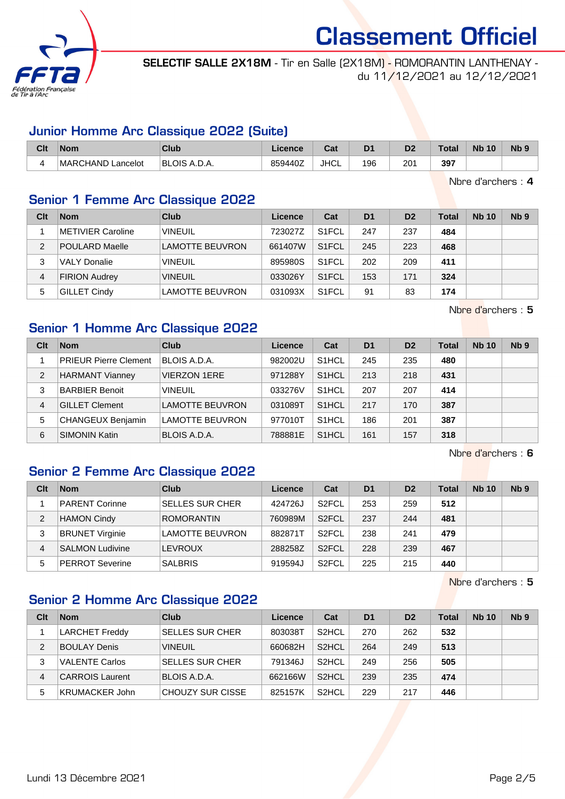

SELECTIF SALLE 2X18M - Tir en Salle (2X18M) - ROMORANTIN LANTHENAY du 11/12/2021 au 12/12/2021

#### Junior Homme Arc Classique 2022 (Suite)

| Clt | <b>Nom</b>        | Club                | Licence | ົີີ່<br>va. | D <sub>1</sub> | D <sub>2</sub> | <b>Total</b> | <b>N<sub>b</sub></b><br>10 | N <sub>b</sub> <sub>9</sub> |
|-----|-------------------|---------------------|---------|-------------|----------------|----------------|--------------|----------------------------|-----------------------------|
|     | MARCHAND Lancelot | <b>BLOIS A.D.A.</b> | 859440Z | <b>JHCL</b> | 196            | 201            | 397          |                            |                             |

Nbre d'archers : 4

#### Senior 1 Femme Arc Classique 2022

| Clt           | <b>Nom</b>            | Club                   | Licence | Cat                | D <sub>1</sub> | D <sub>2</sub> | Total | <b>Nb 10</b> | N <sub>b</sub> <sub>9</sub> |
|---------------|-----------------------|------------------------|---------|--------------------|----------------|----------------|-------|--------------|-----------------------------|
|               | METIVIER Caroline     | <b>VINEUIL</b>         | 723027Z | S <sub>1</sub> FCL | 247            | 237            | 484   |              |                             |
| $\mathcal{P}$ | <b>POULARD Maelle</b> | LAMOTTE BEUVRON        | 661407W | S <sub>1</sub> FCL | 245            | 223            | 468   |              |                             |
| 3             | <b>VALY Donalie</b>   | <b>VINEUIL</b>         | 895980S | S <sub>1</sub> FCL | 202            | 209            | 411   |              |                             |
| 4             | <b>FIRION Audrey</b>  | <b>VINEUIL</b>         | 033026Y | S <sub>1</sub> FCL | 153            | 171            | 324   |              |                             |
| 5             | GILLET Cindy          | <b>LAMOTTE BEUVRON</b> | 031093X | S <sub>1</sub> FCL | 91             | 83             | 174   |              |                             |

Nbre d'archers : 5

### Senior 1 Homme Arc Classique 2022

| Clt            | <b>Nom</b>                   | Club                   | Licence | Cat                | D <sub>1</sub> | D <sub>2</sub> | <b>Total</b> | <b>Nb 10</b> | Nb <sub>9</sub> |
|----------------|------------------------------|------------------------|---------|--------------------|----------------|----------------|--------------|--------------|-----------------|
|                | <b>PRIEUR Pierre Clement</b> | BLOIS A.D.A.           | 982002U | S <sub>1</sub> HCL | 245            | 235            | 480          |              |                 |
| $\overline{2}$ | <b>HARMANT Vianney</b>       | <b>VIERZON 1ERE</b>    | 971288Y | S <sub>1</sub> HCL | 213            | 218            | 431          |              |                 |
| 3              | <b>BARBIER Benoit</b>        | <b>VINEUIL</b>         | 033276V | S <sub>1</sub> HCL | 207            | 207            | 414          |              |                 |
| 4              | <b>GILLET Clement</b>        | <b>LAMOTTE BEUVRON</b> | 031089T | S <sub>1</sub> HCL | 217            | 170            | 387          |              |                 |
| 5              | CHANGEUX Benjamin            | <b>LAMOTTE BEUVRON</b> | 977010T | S <sub>1</sub> HCL | 186            | 201            | 387          |              |                 |
| 6              | <b>SIMONIN Katin</b>         | BLOIS A.D.A.           | 788881E | S <sub>1</sub> HCL | 161            | 157            | 318          |              |                 |

Nbre d'archers : 6

#### Senior 2 Femme Arc Classique 2022

| Clt | <b>Nom</b>             | Club                   | Licence | Cat                | D <sub>1</sub> | D <sub>2</sub> | Total | <b>Nb 10</b> | Nb <sub>9</sub> |
|-----|------------------------|------------------------|---------|--------------------|----------------|----------------|-------|--------------|-----------------|
|     | <b>PARENT Corinne</b>  | <b>SELLES SUR CHER</b> | 424726J | S <sub>2</sub> FCL | 253            | 259            | 512   |              |                 |
| 2   | <b>HAMON Cindy</b>     | <b>ROMORANTIN</b>      | 760989M | S <sub>2</sub> FCL | 237            | 244            | 481   |              |                 |
| 3   | <b>BRUNET Virginie</b> | LAMOTTE BEUVRON        | 882871T | S <sub>2</sub> FCL | 238            | 241            | 479   |              |                 |
| 4   | <b>SALMON Ludivine</b> | LEVROUX                | 288258Z | S <sub>2</sub> FCL | 228            | 239            | 467   |              |                 |
| 5   | <b>PERROT Severine</b> | <b>SALBRIS</b>         | 919594J | S <sub>2</sub> FCL | 225            | 215            | 440   |              |                 |

Nbre d'archers : 5

#### Senior 2 Homme Arc Classique 2022

| Clt | <b>Nom</b>             | Club                    | Licence | Cat                | D <sub>1</sub> | D <sub>2</sub> | <b>Total</b> | <b>Nb 10</b> | N <sub>b</sub> <sub>9</sub> |
|-----|------------------------|-------------------------|---------|--------------------|----------------|----------------|--------------|--------------|-----------------------------|
|     | <b>LARCHET Freddy</b>  | <b>SELLES SUR CHER</b>  | 803038T | S <sub>2</sub> HCL | 270            | 262            | 532          |              |                             |
| 2   | <b>BOULAY Denis</b>    | <b>VINEUIL</b>          | 660682H | S <sub>2</sub> HCL | 264            | 249            | 513          |              |                             |
| 3   | <b>VALENTE Carlos</b>  | <b>SELLES SUR CHER</b>  | 791346J | S <sub>2</sub> HCL | 249            | 256            | 505          |              |                             |
| 4   | <b>CARROIS Laurent</b> | BLOIS A.D.A.            | 662166W | S <sub>2</sub> HCL | 239            | 235            | 474          |              |                             |
| 5   | <b>KRUMACKER John</b>  | <b>CHOUZY SUR CISSE</b> | 825157K | S <sub>2</sub> HCL | 229            | 217            | 446          |              |                             |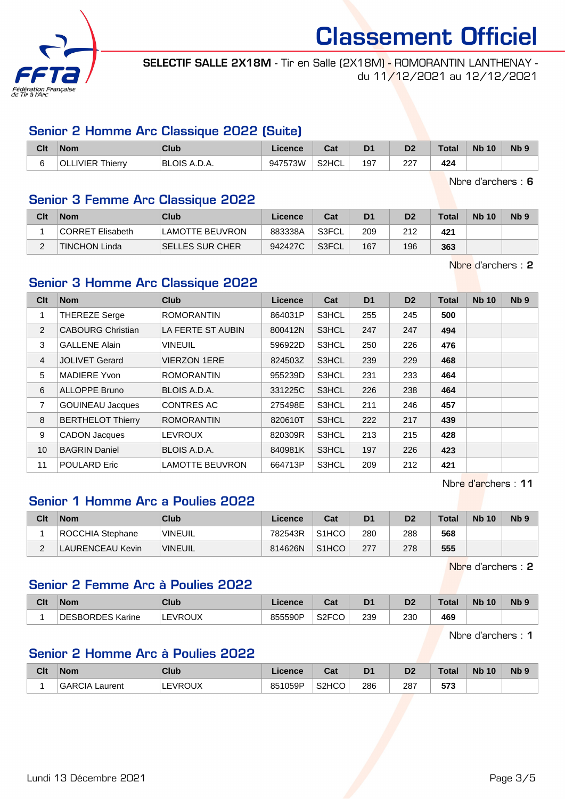

SELECTIF SALLE 2X18M - Tir en Salle (2X18M) - ROMORANTIN LANTHENAY du 11/12/2021 au 12/12/2021

#### Senior 2 Homme Arc Classique 2022 (Suite)

| Clt                      | <b>Nom</b>                                    | Club         | Licence | <b>Dol</b><br>⊍aι | D <sub>1</sub> | D <sub>2</sub> | Total | <b>N<sub>b</sub></b><br>10 | N <sub>b</sub> 9 |
|--------------------------|-----------------------------------------------|--------------|---------|-------------------|----------------|----------------|-------|----------------------------|------------------|
| $\overline{\phantom{0}}$ | o Thierrv <sup>יי</sup><br><b>IVIER</b><br>ור | BLOIS A.D.A. | 947573W | S2HCL             | 197            | つつつ<br>24      | 424   |                            |                  |

Nbre d'archers : 6

#### Senior 3 Femme Arc Classique 2022

| Clt      | <b>Nom</b>           | Club            | Licence | Cat   | D <sub>1</sub> | D2  | <b>Total</b> | <b>Nb 10</b> | N <sub>b</sub> 9 |
|----------|----------------------|-----------------|---------|-------|----------------|-----|--------------|--------------|------------------|
|          | CORRET Elisabeth     | LAMOTTE BEUVRON | 883338A | S3FCL | 209            | 212 | 421          |              |                  |
| <u>_</u> | <b>TINCHON Linda</b> | SELLES SUR CHER | 942427C | S3FCL | 167            | 196 | 363          |              |                  |

Nbre d'archers : 2

### Senior 3 Homme Arc Classique 2022

| Clt            | <b>Nom</b>               | <b>Club</b>            | <b>Licence</b> | Cat          | D <sub>1</sub> | D <sub>2</sub> | <b>Total</b> | <b>Nb 10</b> | N <sub>b</sub> <sub>9</sub> |
|----------------|--------------------------|------------------------|----------------|--------------|----------------|----------------|--------------|--------------|-----------------------------|
| 1              | <b>THEREZE Serge</b>     | <b>ROMORANTIN</b>      | 864031P        | S3HCL        | 255            | 245            | 500          |              |                             |
| 2              | <b>CABOURG Christian</b> | LA FERTE ST AUBIN      | 800412N        | <b>S3HCL</b> | 247            | 247            | 494          |              |                             |
| 3              | <b>GALLENE Alain</b>     | <b>VINEUIL</b>         | 596922D        | S3HCL        | 250            | 226            | 476          |              |                             |
| $\overline{4}$ | <b>JOLIVET Gerard</b>    | <b>VIERZON 1ERE</b>    | 824503Z        | S3HCL        | 239            | 229            | 468          |              |                             |
| 5              | <b>MADIERE Yvon</b>      | <b>ROMORANTIN</b>      | 955239D        | S3HCL        | 231            | 233            | 464          |              |                             |
| 6              | <b>ALLOPPE Bruno</b>     | BLOIS A.D.A.           | 331225C        | S3HCL        | 226            | 238            | 464          |              |                             |
| 7              | <b>GOUINEAU Jacques</b>  | <b>CONTRES AC</b>      | 275498E        | S3HCL        | 211            | 246            | 457          |              |                             |
| 8              | <b>BERTHELOT Thierry</b> | <b>ROMORANTIN</b>      | 820610T        | S3HCL        | 222            | 217            | 439          |              |                             |
| 9              | <b>CADON Jacques</b>     | <b>LEVROUX</b>         | 820309R        | S3HCL        | 213            | 215            | 428          |              |                             |
| 10             | <b>BAGRIN Daniel</b>     | BLOIS A.D.A.           | 840981K        | S3HCL        | 197            | 226            | 423          |              |                             |
| 11             | <b>POULARD Eric</b>      | <b>LAMOTTE BEUVRON</b> | 664713P        | S3HCL        | 209            | 212            | 421          |              |                             |

Nbre d'archers : 11

### Senior 1 Homme Arc a Poulies 2022

| Clt | <b>Nom</b>       | Club           | Licence | Cat                | D <sub>1</sub> | D <sub>2</sub> | <b>Total</b> | <b>Nb 10</b> | Nb <sub>9</sub> |
|-----|------------------|----------------|---------|--------------------|----------------|----------------|--------------|--------------|-----------------|
|     | ROCCHIA Stephane | 'VINEUIL       | 782543R | S <sub>1</sub> HCO | 280            | 288            | 568          |              |                 |
|     | LAURENCEAU Kevin | <b>VINEUIL</b> | 814626N | S <sub>1</sub> HCO | 277            | 278            | 555          |              |                 |

Nbre d'archers : 2

#### Senior 2 Femme Arc à Poulies 2022

| Clt | <b>Nom</b>            | Club           | Licence | <b>Cost</b><br>ual             | D <sub>1</sub> | D0<br>ש | Total | <b>N<sub>b</sub></b><br>10 <sup>°</sup> | <b>N<sub>b</sub></b> |
|-----|-----------------------|----------------|---------|--------------------------------|----------------|---------|-------|-----------------------------------------|----------------------|
|     | SBORDES Karine<br>DE: | <b>LEVROUX</b> | 855590P | $\overline{\phantom{a}}$ S2FCC | 239            | 230     | 469   |                                         |                      |

Nbre d'archers : 1

#### Senior 2 Homme Arc à Poulies 2022

| Clt | <b>Nom</b>               | <b>Club</b> | Licence | <b>Cost</b><br>⊍⊿  | D <sub>1</sub> | D2  | Total             | <b>Nb 10</b> | <b>Nb</b> |
|-----|--------------------------|-------------|---------|--------------------|----------------|-----|-------------------|--------------|-----------|
|     | <b>GARCIA</b><br>_aurent | EVROUX      | 851059P | S <sub>2</sub> HCO | 286            | 287 | -70<br><u>აია</u> |              |           |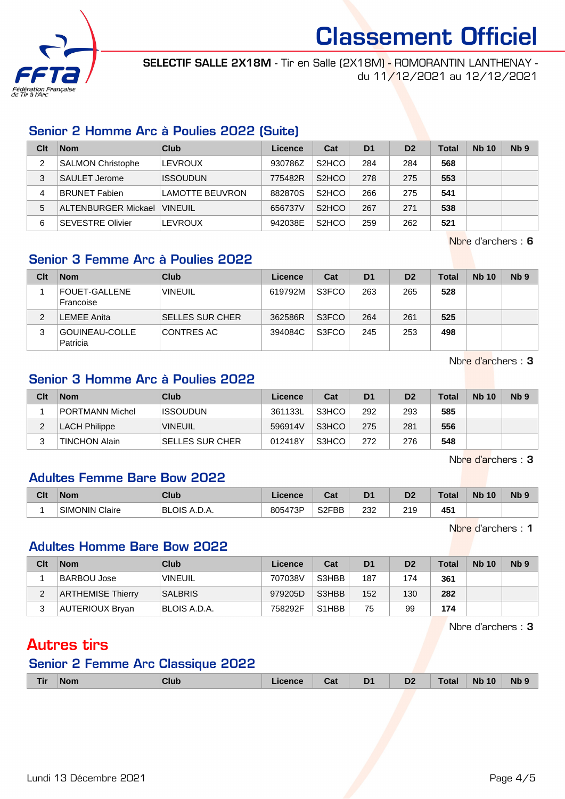

SELECTIF SALLE 2X18M - Tir en Salle (2X18M) - ROMORANTIN LANTHENAY du 11/12/2021 au 12/12/2021

### Senior 2 Homme Arc à Poulies 2022 (Suite)

| Clt | <b>Nom</b>                 | <b>Club</b>     | Licence | Cat                | D <sub>1</sub> | D <sub>2</sub> | Total | <b>Nb 10</b> | Nb <sub>9</sub> |
|-----|----------------------------|-----------------|---------|--------------------|----------------|----------------|-------|--------------|-----------------|
|     | SALMON Christophe          | LEVROUX         | 930786Z | S <sub>2</sub> HCO | 284            | 284            | 568   |              |                 |
| 3   | SAULET Jerome              | <b>ISSOUDUN</b> | 775482R | S <sub>2</sub> HCO | 278            | 275            | 553   |              |                 |
| 4   | <b>BRUNET Fabien</b>       | LAMOTTE BEUVRON | 882870S | S <sub>2</sub> HCO | 266            | 275            | 541   |              |                 |
| 5   | <b>ALTENBURGER Mickael</b> | <b>VINEUIL</b>  | 656737V | S <sub>2</sub> HCO | 267            | 271            | 538   |              |                 |
| 6   | <b>SEVESTRE Olivier</b>    | <b>LEVROUX</b>  | 942038E | S <sub>2</sub> HCO | 259            | 262            | 521   |              |                 |

Nbre d'archers : 6

## Senior 3 Femme Arc à Poulies 2022

| Clt | <b>Nom</b>                 | Club                   | Licence | Cat   | D <sub>1</sub> | D <sub>2</sub> | <b>Total</b> | <b>Nb 10</b> | Nb <sub>9</sub> |
|-----|----------------------------|------------------------|---------|-------|----------------|----------------|--------------|--------------|-----------------|
|     | FOUET-GALLENE<br>Francoise | <b>VINEUIL</b>         | 619792M | S3FCO | 263            | 265            | 528          |              |                 |
|     | <b>LEMEE Anita</b>         | <b>SELLES SUR CHER</b> | 362586R | S3FCO | 264            | 261            | 525          |              |                 |
| 3   | GOUINEAU-COLLE<br>Patricia | CONTRES AC             | 394084C | S3FCO | 245            | 253            | 498          |              |                 |

Nbre d'archers : 3

### Senior 3 Homme Arc à Poulies 2022

| Clt | <b>Nom</b>           | Club                   | Licence | Cat   | D <sub>1</sub> | D <sub>2</sub> | <b>Total</b> | <b>Nb 10</b> | Nb <sub>9</sub> |
|-----|----------------------|------------------------|---------|-------|----------------|----------------|--------------|--------------|-----------------|
|     | PORTMANN Michel      | <b>ISSOUDUN</b>        | 361133L | S3HCO | 292            | 293            | 585          |              |                 |
|     | <b>LACH Philippe</b> | <b>VINEUIL</b>         | 596914V | S3HCO | 275            | 281            | 556          |              |                 |
|     | <b>TINCHON Alain</b> | <b>SELLES SUR CHER</b> | 012418Y | S3HCO | 272            | 276            | 548          |              |                 |

Nbre d'archers : 3

## Adultes Femme Bare Bow 2022

| Clt | Nom                      | Club                            | <i>icence</i> | <b>Take</b><br>⊍d  | D <sup>1</sup> | D <sub>2</sub>         | Tota | <b>N<sub>b</sub></b><br>10 | N <sub>b</sub> 9 |
|-----|--------------------------|---------------------------------|---------------|--------------------|----------------|------------------------|------|----------------------------|------------------|
|     | Claire<br><b>SIMONIN</b> | <b>BLOIS</b><br>' ∖. –⁄. , / ∖. | 805473P       | S <sub>2</sub> FBB | 232            | 240<br>ه ۱ ه<br>$\sim$ | 451  |                            |                  |

Nbre d'archers : 1

#### Adultes Homme Bare Bow 2022

| Clt | <b>Nom</b>               | Club            | Licence | Cat                            | D <sub>1</sub> | D <sub>2</sub> | <b>Total</b> | <b>Nb 10</b> | Nb <sub>9</sub> |
|-----|--------------------------|-----------------|---------|--------------------------------|----------------|----------------|--------------|--------------|-----------------|
|     | BARBOU Jose              | <b>'VINEUIL</b> | 707038V | S3HBB                          | 187            | 174            | 361          |              |                 |
| ົ   | <b>ARTHEMISE Thierry</b> | <b>SALBRIS</b>  | 979205D | S3HBB                          | 152            | 130            | 282          |              |                 |
|     | AUTERIOUX Bryan          | BLOIS A.D.A.    | 758292F | S <sub>1</sub> H <sub>BB</sub> | 75             | 99             | 174          |              |                 |

Nbre d'archers : 3

## Autres tirs

#### Senior 2 Femme Arc Classique 2022

| <b>Tir</b> | <b>Nom</b><br>_____ | Club | Licence | Cat | D <sub>1</sub><br>- - | D <sub>2</sub><br>υZ | <b>Total</b> | <b>Nb 10</b> | Nb <sub>9</sub> |
|------------|---------------------|------|---------|-----|-----------------------|----------------------|--------------|--------------|-----------------|
|            |                     |      |         |     |                       |                      |              |              |                 |